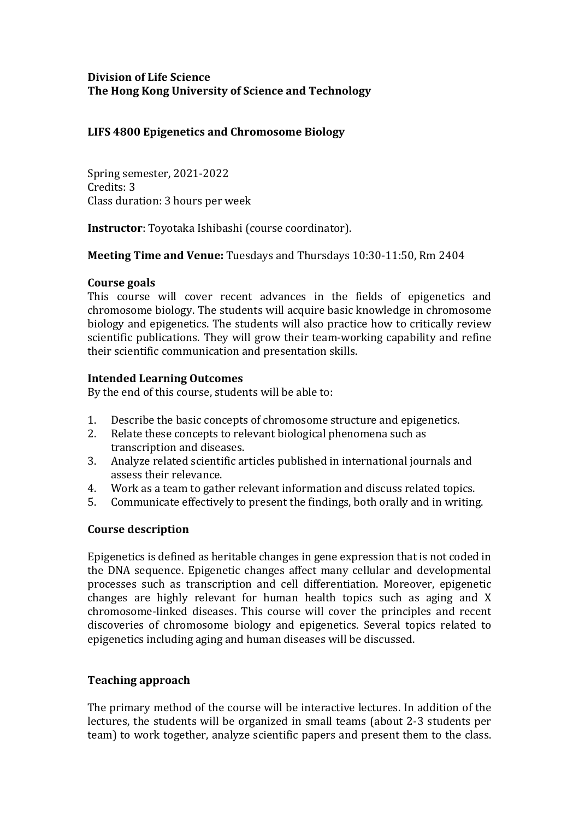## **Division of Life Science The Hong Kong University of Science and Technology**

## **LIFS 4800 Epigenetics and Chromosome Biology**

Spring semester, 2021-2022 Credits: 3 Class duration: 3 hours per week

**Instructor**: Toyotaka Ishibashi (course coordinator).

**Meeting Time and Venue:** Tuesdays and Thursdays 10:30-11:50, Rm 2404

### **Course goals**

This course will cover recent advances in the fields of epigenetics and chromosome biology. The students will acquire basic knowledge in chromosome biology and epigenetics. The students will also practice how to critically review scientific publications. They will grow their team-working capability and refine their scientific communication and presentation skills.

## **Intended Learning Outcomes**

By the end of this course, students will be able to:

- 1. Describe the basic concepts of chromosome structure and epigenetics.<br>2. Relate these concepts to relevant biological phenomena such as
- Relate these concepts to relevant biological phenomena such as transcription and diseases.
- 3. Analyze related scientific articles published in international journals and assess their relevance.
- 4. Work as a team to gather relevant information and discuss related topics.<br>5. Communicate effectively to present the findings, both orally and in writing
- 5. Communicate effectively to present the findings, both orally and in writing.

# **Course description**

Epigenetics is defined as heritable changes in gene expression that is not coded in the DNA sequence. Epigenetic changes affect many cellular and developmental processes such as transcription and cell differentiation. Moreover, epigenetic changes are highly relevant for human health topics such as aging and X chromosome-linked diseases. This course will cover the principles and recent discoveries of chromosome biology and epigenetics. Several topics related to epigenetics including aging and human diseases will be discussed.

# **Teaching approach**

The primary method of the course will be interactive lectures. In addition of the lectures, the students will be organized in small teams (about 2-3 students per team) to work together, analyze scientific papers and present them to the class.